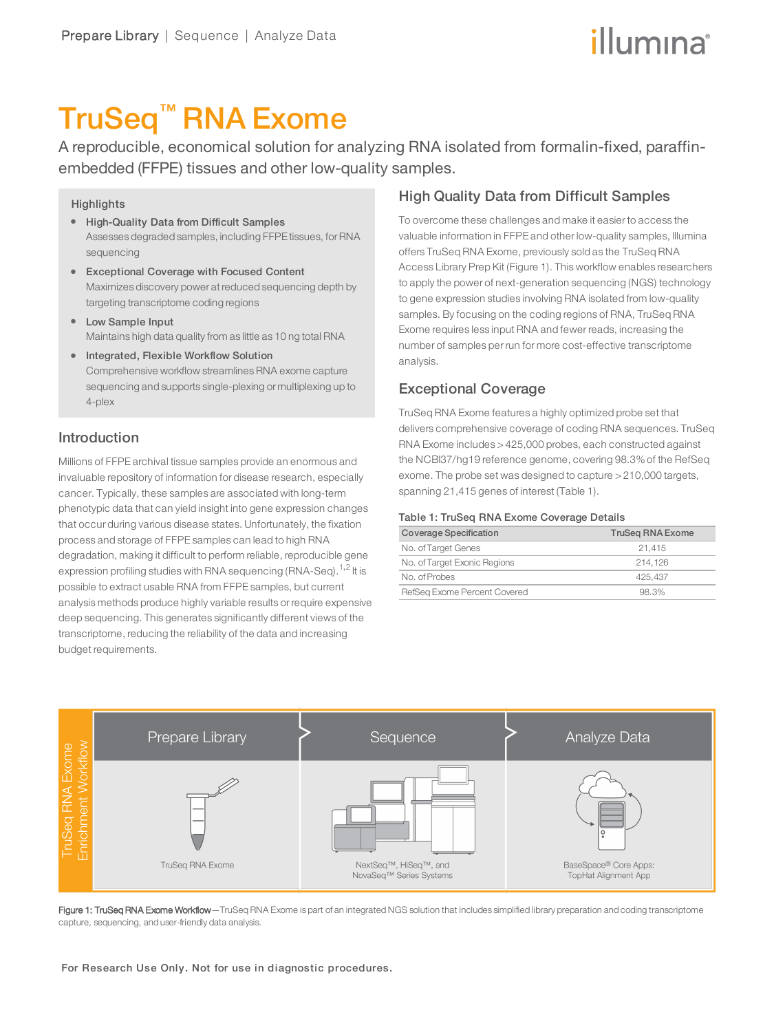# illumına

## TruSeq™ RNA Exome

A reproducible, economical solution for analyzing RNA isolated from formalin-fixed, paraffinembedded (FFPE) tissues and other low-quality samples.

#### **Highlights**

- High-Quality Data from Difficult Samples Assesses degraded samples, including FFPE tissues, forRNA sequencing
- **•** Exceptional Coverage with Focused Content Maximizes discovery power at reduced sequencing depth by targeting transcriptome coding regions
- Low Sample Input Maintains high data quality from as little as 10 ng total RNA
- **•** Integrated, Flexible Workflow Solution Comprehensive workflow streamlines RNA exome capture sequencing and supports single-plexing or multiplexing up to 4-plex

## Introduction

Millions of FFPE archival tissue samples provide an enormous and invaluable repository of information for disease research, especially cancer. Typically, these samples are associated with long-term phenotypic data that can yield insight into gene expression changes that occur during various disease states. Unfortunately, the fixation process and storage of FFPE samples can lead to high RNA degradation, making it difficult to perform reliable, reproducible gene expression profiling studies with RNA sequencing (RNA-Seq). $^{1,2}$  $^{1,2}$  $^{1,2}$  $^{1,2}$  $^{1,2}$  It is possible to extract usable RNA from FFPE samples, but current analysis methods produce highly variable results or require expensive deep sequencing. This generates significantly different views of the transcriptome, reducing the reliability of the data and increasing budget requirements.

## High Quality Data from Difficult Samples

To overcome these challenges and make it easier to access the valuable information in FFPE and other low-quality samples, Illumina offers TruSeq RNA Exome, previously sold as the TruSeq RNA Access Library Prep Kit (Figure 1). This workflow enables researchers to apply the power of next-generation sequencing (NGS) technology to gene expression studies involving RNA isolated from low-quality samples. By focusing on the coding regions of RNA, TruSeq RNA Exome requires less input RNA and fewer reads, increasing the number of samples per run for more cost-effective transcriptome analysis.

## Exceptional Coverage

TruSeq RNA Exome features a highly optimized probe set that delivers comprehensive coverage of coding RNA sequences. TruSeq RNA Exome includes > 425,000 probes, each constructed against the NCBI37/hg19 reference genome, covering 98.3% of the RefSeq exome. The probe set was designed to capture > 210,000 targets, spanning 21,415 genes of interest (Table 1).

#### Table 1: TruSeq RNA Exome Coverage Details

| Coverage Specification       | <b>TruSeg RNA Exome</b> |
|------------------------------|-------------------------|
| No. of Target Genes          | 21.415                  |
| No. of Target Exonic Regions | 214.126                 |
| No. of Probes                | 425.437                 |
| RefSeg Exome Percent Covered | 98.3%                   |



Figure 1: TruSeq RNA Exome Workflow-TruSeq RNA Exome is part of an integrated NGS solution that includes simplified library preparation and coding transcriptome capture, sequencing, and user-friendly data analysis.

For Research Use Only. Not for use in diagnostic procedures.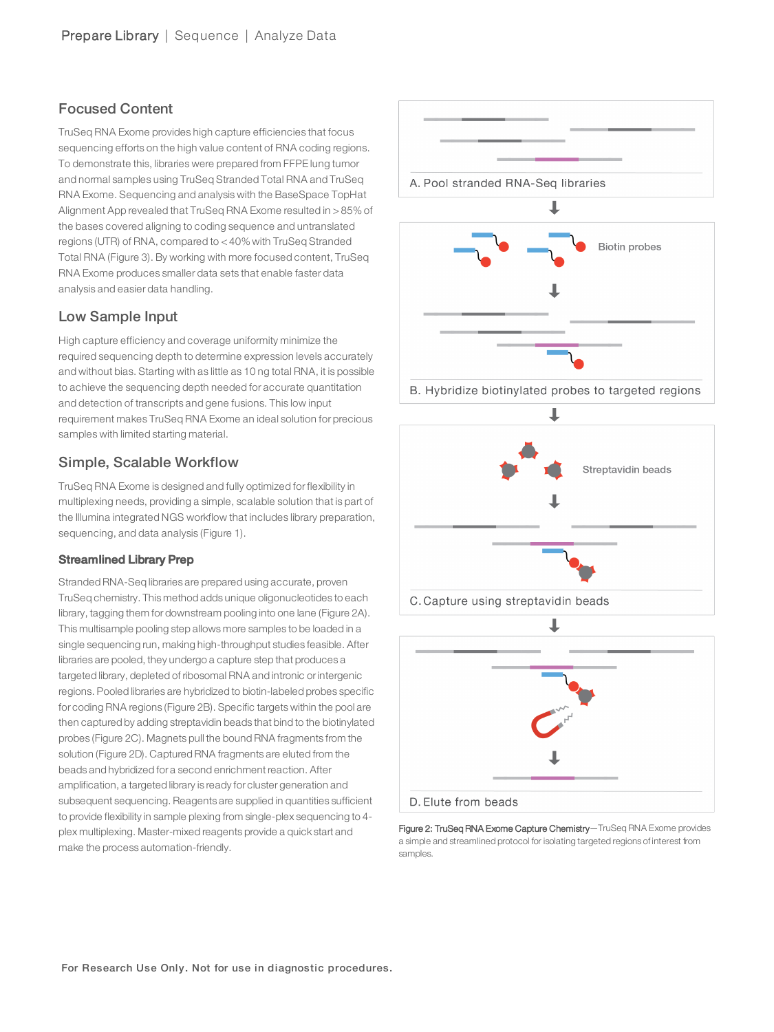## Focused Content

TruSeq RNA Exome provides high capture efficiencies that focus sequencing efforts on the high value content of RNA coding regions. To demonstrate this, libraries were prepared from FFPE lung tumor and normal samples using TruSeq Stranded Total RNA and TruSeq RNA Exome. Sequencing and analysis with the BaseSpace TopHat Alignment App revealed that TruSeq RNA Exome resulted in > 85% of the bases covered aligning to coding sequence and untranslated regions (UTR) of RNA, compared to < 40% with TruSeq Stranded Total RNA (Figure 3). By working with more focused content, TruSeq RNA Exome produces smaller data sets that enable faster data analysis and easier data handling.

## Low Sample Input

High capture efficiency and coverage uniformity minimize the required sequencing depth to determine expression levels accurately and without bias. Starting with as little as 10 ng total RNA, it is possible to achieve the sequencing depth needed for accurate quantitation and detection of transcripts and gene fusions. This low input requirement makes TruSeq RNA Exome an ideal solution for precious samples with limited starting material.

## Simple, Scalable Workflow

TruSeq RNA Exome is designed and fully optimized for flexibility in multiplexing needs, providing a simple, scalable solution that is part of the Illumina integrated NGS workflow that includes library preparation, sequencing, and data analysis (Figure 1).

### Streamlined Library Prep

Stranded RNA-Seq libraries are prepared using accurate, proven TruSeq chemistry. This method adds unique oligonucleotides to each library, tagging them for downstream pooling into one lane (Figure 2A). This multisample pooling step allows more samples to be loaded in a single sequencing run, making high-throughput studies feasible. After libraries are pooled, they undergo a capture step that produces a targeted library, depleted of ribosomal RNA and intronic orintergenic regions. Pooled libraries are hybridized to biotin-labeled probes specific for coding RNA regions (Figure 2B). Specific targets within the pool are then captured by adding streptavidin beads that bind to the biotinylated probes (Figure 2C). Magnets pull the bound RNA fragments from the solution (Figure 2D). Captured RNA fragments are eluted from the beads and hybridized for a second enrichment reaction. After amplification, a targeted library is ready for cluster generation and subsequent sequencing. Reagents are supplied in quantities sufficient to provide flexibility in sample plexing from single-plex sequencing to 4 plex multiplexing. Master-mixed reagents provide a quick start and make the process automation-friendly.



Figure 2: TruSeq RNA Exome Capture Chemistry-TruSeq RNA Exome provides a simple and streamlined protocol for isolating targeted regions of interest from samples.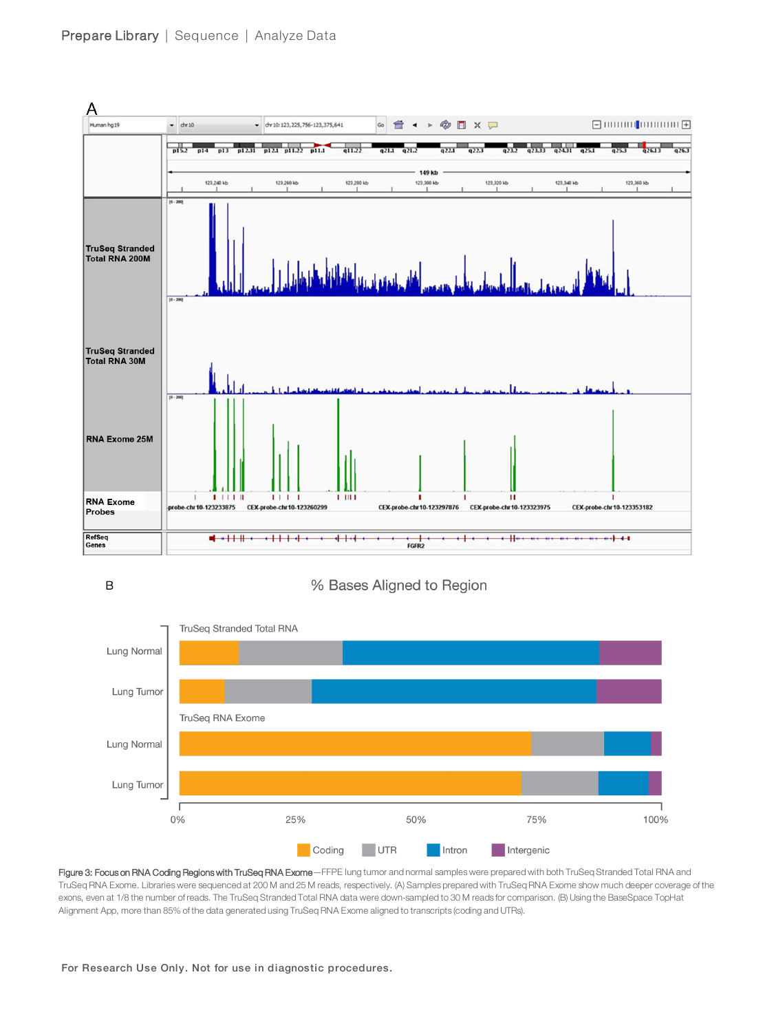

 $\mathsf B$ 

% Bases Aligned to Region



Figure 3: Focus on RNA Coding Regions with TruSeq RNA Exome - FFPE lung tumor and normal samples were prepared with both TruSeq Stranded Total RNA and TruSeq RNA Exome. Libraries were sequenced at 200 M and 25 M reads, respectively. (A) Samples prepared with TruSeq RNA Exome show much deeper coverage of the exons, even at 1/8 the number of reads. The TruSeq Stranded Total RNA data were down-sampled to 30 M reads for comparison. (B) Using the BaseSpace TopHat Alignment App, more than 85% of the data generated using TruSeq RNA Exome aligned to transcripts (coding and UTRs).

#### For Research Use Only. Not for use in diagnostic procedures.